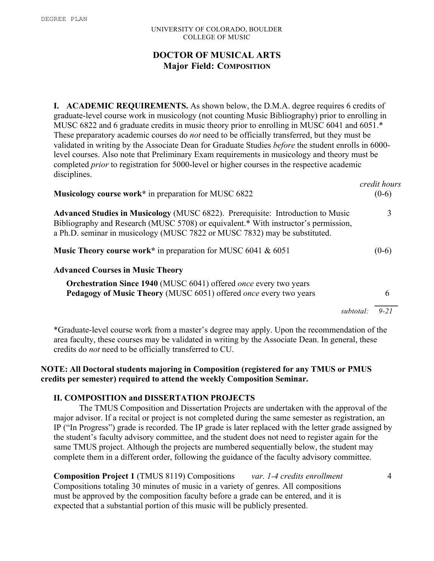## UNIVERSITY OF COLORADO, BOULDER COLLEGE OF MUSIC

## **DOCTOR OF MUSICAL ARTS Major Field: COMPOSITION**

**I. ACADEMIC REQUIREMENTS.** As shown below, the D.M.A. degree requires 6 credits of graduate-level course work in musicology (not counting Music Bibliography) prior to enrolling in MUSC 6822 and 6 graduate credits in music theory prior to enrolling in MUSC 6041 and 6051.\* These preparatory academic courses do *not* need to be officially transferred, but they must be validated in writing by the Associate Dean for Graduate Studies *before* the student enrolls in 6000 level courses. Also note that Preliminary Exam requirements in musicology and theory must be completed *prior* to registration for 5000-level or higher courses in the respective academic disciplines.

| <b>Musicology course work</b> * in preparation for MUSC 6822                                                                                                                                                                                                | $(0-6)$  |
|-------------------------------------------------------------------------------------------------------------------------------------------------------------------------------------------------------------------------------------------------------------|----------|
| <b>Advanced Studies in Musicology (MUSC 6822). Prerequisite: Introduction to Music</b><br>Bibliography and Research (MUSC 5708) or equivalent.* With instructor's permission,<br>a Ph.D. seminar in musicology (MUSC 7822 or MUSC 7832) may be substituted. | 3        |
| <b>Music Theory course work</b> * in preparation for MUSC 6041 $\&$ 6051                                                                                                                                                                                    | $(0-6)$  |
| <b>Advanced Courses in Music Theory</b>                                                                                                                                                                                                                     |          |
| <b>Orchestration Since 1940</b> (MUSC 6041) offered once every two years<br>Pedagogy of Music Theory (MUSC 6051) offered once every two years                                                                                                               | 6        |
| subtotal                                                                                                                                                                                                                                                    | $9 - 21$ |

\*Graduate-level course work from a master's degree may apply. Upon the recommendation of the area faculty, these courses may be validated in writing by the Associate Dean. In general, these credits do *not* need to be officially transferred to CU.

## **NOTE: All Doctoral students majoring in Composition (registered for any TMUS or PMUS credits per semester) required to attend the weekly Composition Seminar.**

## **II. COMPOSITION and DISSERTATION PROJECTS**

The TMUS Composition and Dissertation Projects are undertaken with the approval of the major advisor. If a recital or project is not completed during the same semester as registration, an IP ("In Progress") grade is recorded. The IP grade is later replaced with the letter grade assigned by the student's faculty advisory committee, and the student does not need to register again for the same TMUS project. Although the projects are numbered sequentially below, the student may complete them in a different order, following the guidance of the faculty advisory committee.

**Composition Project 1** (TMUS 8119) Compositions *var. 1-4 credits enrollment* 4 Compositions totaling 30 minutes of music in a variety of genres. All compositions must be approved by the composition faculty before a grade can be entered, and it is expected that a substantial portion of this music will be publicly presented.

*credit hours*